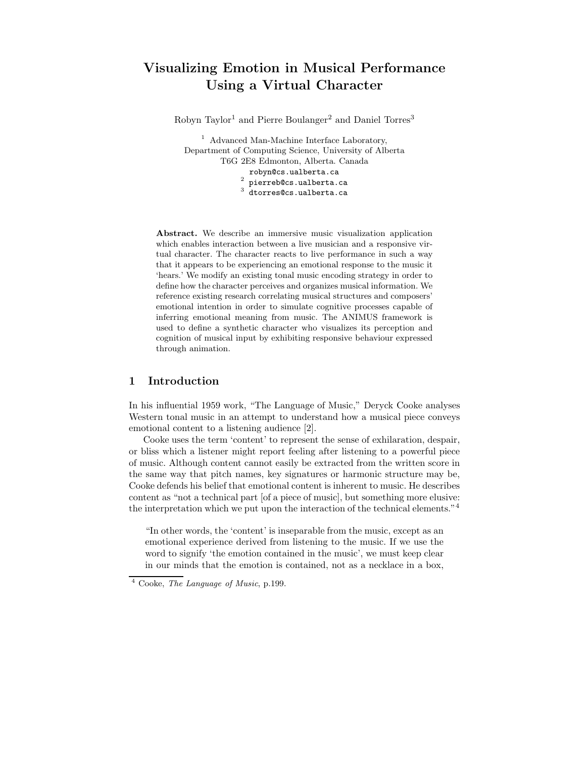# **Visualizing Emotion in Musical Performance Using a Virtual Character**

Robyn  $Taylor<sup>1</sup>$  and Pierre Boulanger<sup>2</sup> and Daniel Torres<sup>3</sup>

<sup>1</sup> Advanced Man-Machine Interface Laboratory, Department of Computing Science, University of Alberta T6G 2E8 Edmonton, Alberta. Canada robyn@cs.ualberta.ca  $^2$  pierreb@cs.ualberta.ca  $3$  dtorres@cs.ualberta.ca

**Abstract.** We describe an immersive music visualization application which enables interaction between a live musician and a responsive virtual character. The character reacts to live performance in such a way that it appears to be experiencing an emotional response to the music it 'hears.' We modify an existing tonal music encoding strategy in order to define how the character perceives and organizes musical information. We reference existing research correlating musical structures and composers' emotional intention in order to simulate cognitive processes capable of inferring emotional meaning from music. The ANIMUS framework is used to define a synthetic character who visualizes its perception and cognition of musical input by exhibiting responsive behaviour expressed through animation.

### **1 Introduction**

In his influential 1959 work, "The Language of Music," Deryck Cooke analyses Western tonal music in an attempt to understand how a musical piece conveys emotional content to a listening audience [2].

Cooke uses the term 'content' to represent the sense of exhilaration, despair, or bliss which a listener might report feeling after listening to a powerful piece of music. Although content cannot easily be extracted from the written score in the same way that pitch names, key signatures or harmonic structure may be, Cooke defends his belief that emotional content is inherent to music. He describes content as "not a technical part [of a piece of music], but something more elusive: the interpretation which we put upon the interaction of the technical elements."<sup>4</sup>

"In other words, the 'content' is inseparable from the music, except as an emotional experience derived from listening to the music. If we use the word to signify 'the emotion contained in the music', we must keep clear in our minds that the emotion is contained, not as a necklace in a box,

<sup>4</sup> Cooke, *The Language of Music*, p.199.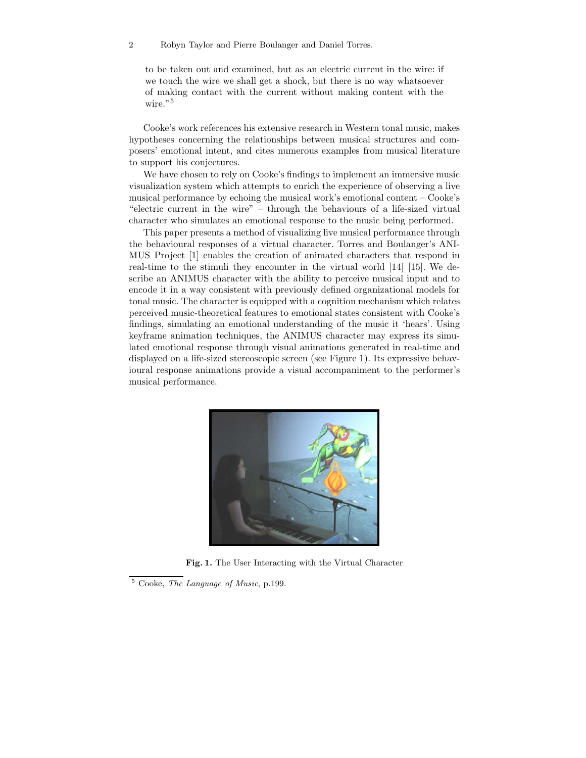to be taken out and examined, but as an electric current in the wire: if we touch the wire we shall get a shock, but there is no way whatsoever of making contact with the current without making content with the wire."<sup>5</sup>

Cooke's work references his extensive research in Western tonal music, makes hypotheses concerning the relationships between musical structures and composers' emotional intent, and cites numerous examples from musical literature to support his conjectures.

We have chosen to rely on Cooke's findings to implement an immersive music visualization system which attempts to enrich the experience of observing a live musical performance by echoing the musical work's emotional content – Cooke's "electric current in the wire" – through the behaviours of a life-sized virtual character who simulates an emotional response to the music being performed.

This paper presents a method of visualizing live musical performance through the behavioural responses of a virtual character. Torres and Boulanger's ANI-MUS Project [1] enables the creation of animated characters that respond in real-time to the stimuli they encounter in the virtual world [14] [15]. We describe an ANIMUS character with the ability to perceive musical input and to encode it in a way consistent with previously defined organizational models for tonal music. The character is equipped with a cognition mechanism which relates perceived music-theoretical features to emotional states consistent with Cooke's findings, simulating an emotional understanding of the music it 'hears'. Using keyframe animation techniques, the ANIMUS character may express its simulated emotional response through visual animations generated in real-time and displayed on a life-sized stereoscopic screen (see Figure 1). Its expressive behavioural response animations provide a visual accompaniment to the performer's musical performance.



**Fig. 1.** The User Interacting with the Virtual Character

<sup>5</sup> Cooke, *The Language of Music*, p.199.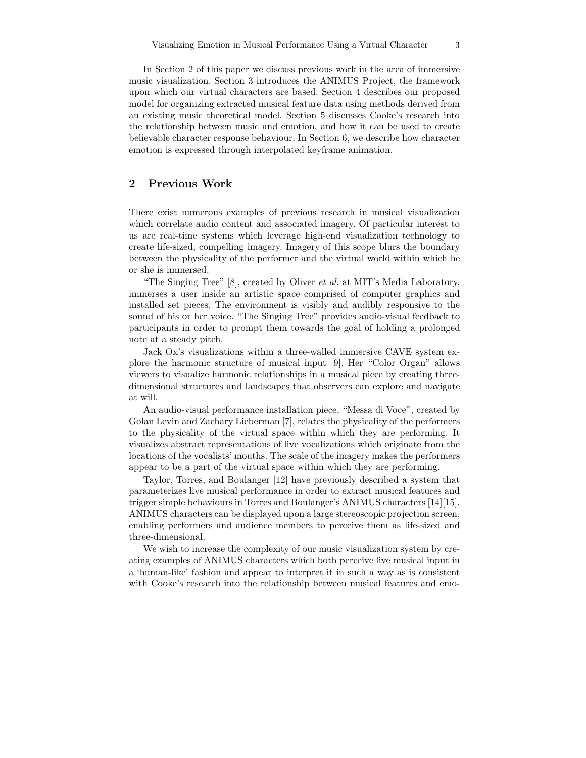In Section 2 of this paper we discuss previous work in the area of immersive music visualization. Section 3 introduces the ANIMUS Project, the framework upon which our virtual characters are based. Section 4 describes our proposed model for organizing extracted musical feature data using methods derived from an existing music theoretical model. Section 5 discusses Cooke's research into the relationship between music and emotion, and how it can be used to create believable character response behaviour. In Section 6, we describe how character emotion is expressed through interpolated keyframe animation.

## **2 Previous Work**

There exist numerous examples of previous research in musical visualization which correlate audio content and associated imagery. Of particular interest to us are real-time systems which leverage high-end visualization technology to create life-sized, compelling imagery. Imagery of this scope blurs the boundary between the physicality of the performer and the virtual world within which he or she is immersed.

"The Singing Tree" [8], created by Oliver *et al.* at MIT's Media Laboratory, immerses a user inside an artistic space comprised of computer graphics and installed set pieces. The environment is visibly and audibly responsive to the sound of his or her voice. "The Singing Tree" provides audio-visual feedback to participants in order to prompt them towards the goal of holding a prolonged note at a steady pitch.

Jack Ox's visualizations within a three-walled immersive CAVE system explore the harmonic structure of musical input [9]. Her "Color Organ" allows viewers to visualize harmonic relationships in a musical piece by creating threedimensional structures and landscapes that observers can explore and navigate at will.

An audio-visual performance installation piece, "Messa di Voce", created by Golan Levin and Zachary Lieberman [7], relates the physicality of the performers to the physicality of the virtual space within which they are performing. It visualizes abstract representations of live vocalizations which originate from the locations of the vocalists' mouths. The scale of the imagery makes the performers appear to be a part of the virtual space within which they are performing.

Taylor, Torres, and Boulanger [12] have previously described a system that parameterizes live musical performance in order to extract musical features and trigger simple behaviours in Torres and Boulanger's ANIMUS characters [14][15]. ANIMUS characters can be displayed upon a large stereoscopic projection screen, enabling performers and audience members to perceive them as life-sized and three-dimensional.

We wish to increase the complexity of our music visualization system by creating examples of ANIMUS characters which both perceive live musical input in a 'human-like' fashion and appear to interpret it in such a way as is consistent with Cooke's research into the relationship between musical features and emo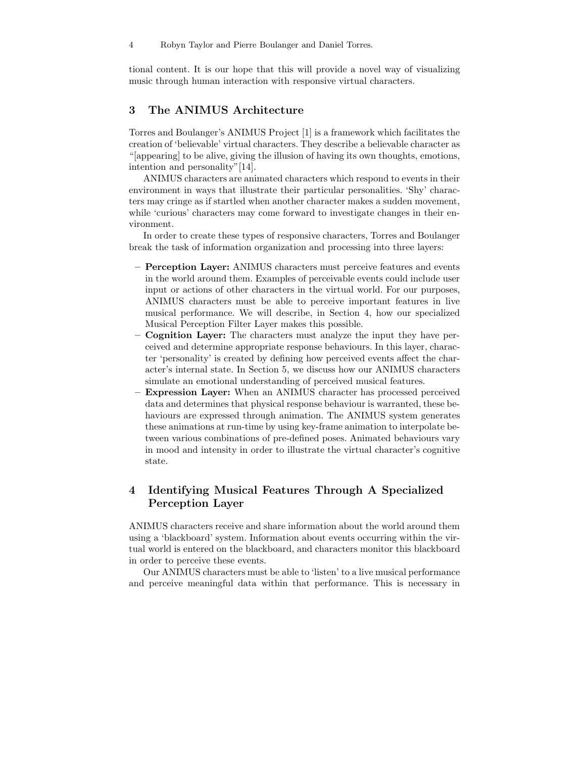tional content. It is our hope that this will provide a novel way of visualizing music through human interaction with responsive virtual characters.

# **3 The ANIMUS Architecture**

Torres and Boulanger's ANIMUS Project [1] is a framework which facilitates the creation of 'believable' virtual characters. They describe a believable character as "[appearing] to be alive, giving the illusion of having its own thoughts, emotions, intention and personality"[14].

ANIMUS characters are animated characters which respond to events in their environment in ways that illustrate their particular personalities. 'Shy' characters may cringe as if startled when another character makes a sudden movement, while 'curious' characters may come forward to investigate changes in their environment.

In order to create these types of responsive characters, Torres and Boulanger break the task of information organization and processing into three layers:

- **Perception Layer:** ANIMUS characters must perceive features and events in the world around them. Examples of perceivable events could include user input or actions of other characters in the virtual world. For our purposes, ANIMUS characters must be able to perceive important features in live musical performance. We will describe, in Section 4, how our specialized Musical Perception Filter Layer makes this possible.
- **Cognition Layer:** The characters must analyze the input they have perceived and determine appropriate response behaviours. In this layer, character 'personality' is created by defining how perceived events affect the character's internal state. In Section 5, we discuss how our ANIMUS characters simulate an emotional understanding of perceived musical features.
- **Expression Layer:** When an ANIMUS character has processed perceived data and determines that physical response behaviour is warranted, these behaviours are expressed through animation. The ANIMUS system generates these animations at run-time by using key-frame animation to interpolate between various combinations of pre-defined poses. Animated behaviours vary in mood and intensity in order to illustrate the virtual character's cognitive state.

# **4 Identifying Musical Features Through A Specialized Perception Layer**

ANIMUS characters receive and share information about the world around them using a 'blackboard' system. Information about events occurring within the virtual world is entered on the blackboard, and characters monitor this blackboard in order to perceive these events.

Our ANIMUS characters must be able to 'listen' to a live musical performance and perceive meaningful data within that performance. This is necessary in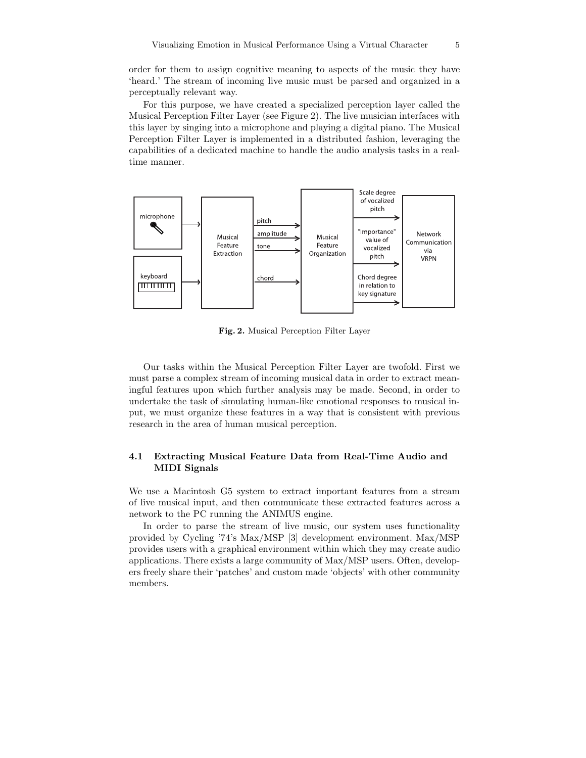order for them to assign cognitive meaning to aspects of the music they have 'heard.' The stream of incoming live music must be parsed and organized in a perceptually relevant way.

For this purpose, we have created a specialized perception layer called the Musical Perception Filter Layer (see Figure 2). The live musician interfaces with this layer by singing into a microphone and playing a digital piano. The Musical Perception Filter Layer is implemented in a distributed fashion, leveraging the capabilities of a dedicated machine to handle the audio analysis tasks in a realtime manner.



**Fig. 2.** Musical Perception Filter Layer

Our tasks within the Musical Perception Filter Layer are twofold. First we must parse a complex stream of incoming musical data in order to extract meaningful features upon which further analysis may be made. Second, in order to undertake the task of simulating human-like emotional responses to musical input, we must organize these features in a way that is consistent with previous research in the area of human musical perception.

### **4.1 Extracting Musical Feature Data from Real-Time Audio and MIDI Signals**

We use a Macintosh G5 system to extract important features from a stream of live musical input, and then communicate these extracted features across a network to the PC running the ANIMUS engine.

In order to parse the stream of live music, our system uses functionality provided by Cycling '74's Max/MSP [3] development environment. Max/MSP provides users with a graphical environment within which they may create audio applications. There exists a large community of Max/MSP users. Often, developers freely share their 'patches' and custom made 'objects' with other community members.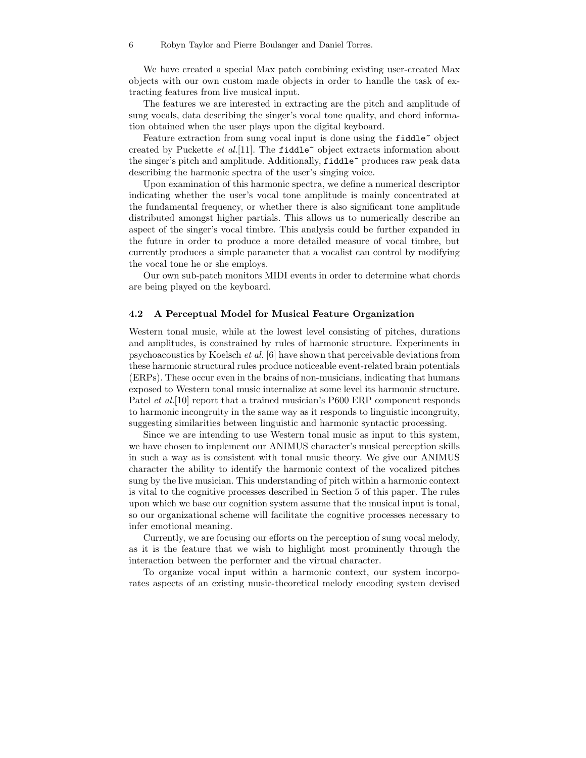We have created a special Max patch combining existing user-created Max objects with our own custom made objects in order to handle the task of extracting features from live musical input.

The features we are interested in extracting are the pitch and amplitude of sung vocals, data describing the singer's vocal tone quality, and chord information obtained when the user plays upon the digital keyboard.

Feature extraction from sung vocal input is done using the fiddle<sup> $\sim$ </sup> object created by Puckette *et al.*[11]. The fiddle~ object extracts information about the singer's pitch and amplitude. Additionally, fiddle~ produces raw peak data describing the harmonic spectra of the user's singing voice.

Upon examination of this harmonic spectra, we define a numerical descriptor indicating whether the user's vocal tone amplitude is mainly concentrated at the fundamental frequency, or whether there is also significant tone amplitude distributed amongst higher partials. This allows us to numerically describe an aspect of the singer's vocal timbre. This analysis could be further expanded in the future in order to produce a more detailed measure of vocal timbre, but currently produces a simple parameter that a vocalist can control by modifying the vocal tone he or she employs.

Our own sub-patch monitors MIDI events in order to determine what chords are being played on the keyboard.

#### **4.2 A Perceptual Model for Musical Feature Organization**

Western tonal music, while at the lowest level consisting of pitches, durations and amplitudes, is constrained by rules of harmonic structure. Experiments in psychoacoustics by Koelsch *et al.* [6] have shown that perceivable deviations from these harmonic structural rules produce noticeable event-related brain potentials (ERPs). These occur even in the brains of non-musicians, indicating that humans exposed to Western tonal music internalize at some level its harmonic structure. Patel *et al.*[10] report that a trained musician's P600 ERP component responds to harmonic incongruity in the same way as it responds to linguistic incongruity, suggesting similarities between linguistic and harmonic syntactic processing.

Since we are intending to use Western tonal music as input to this system, we have chosen to implement our ANIMUS character's musical perception skills in such a way as is consistent with tonal music theory. We give our ANIMUS character the ability to identify the harmonic context of the vocalized pitches sung by the live musician. This understanding of pitch within a harmonic context is vital to the cognitive processes described in Section 5 of this paper. The rules upon which we base our cognition system assume that the musical input is tonal, so our organizational scheme will facilitate the cognitive processes necessary to infer emotional meaning.

Currently, we are focusing our efforts on the perception of sung vocal melody, as it is the feature that we wish to highlight most prominently through the interaction between the performer and the virtual character.

To organize vocal input within a harmonic context, our system incorporates aspects of an existing music-theoretical melody encoding system devised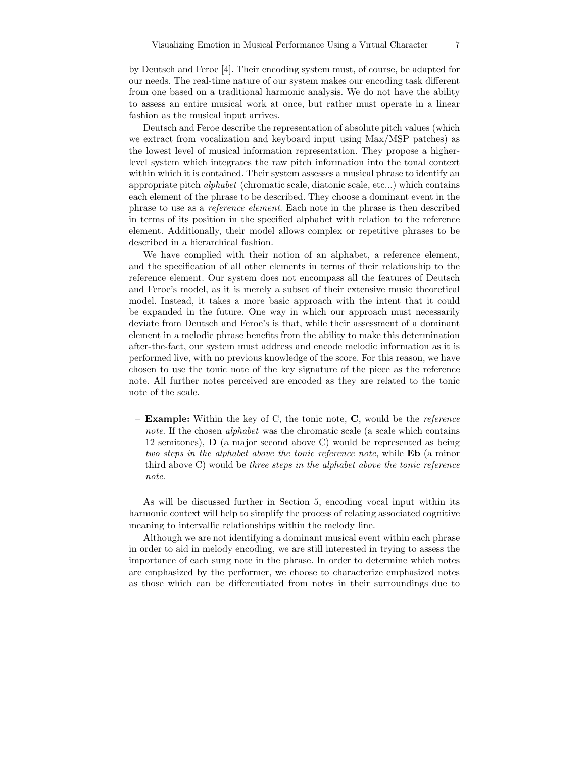by Deutsch and Feroe [4]. Their encoding system must, of course, be adapted for our needs. The real-time nature of our system makes our encoding task different from one based on a traditional harmonic analysis. We do not have the ability to assess an entire musical work at once, but rather must operate in a linear fashion as the musical input arrives.

Deutsch and Feroe describe the representation of absolute pitch values (which we extract from vocalization and keyboard input using Max/MSP patches) as the lowest level of musical information representation. They propose a higherlevel system which integrates the raw pitch information into the tonal context within which it is contained. Their system assesses a musical phrase to identify an appropriate pitch *alphabet* (chromatic scale, diatonic scale, etc...) which contains each element of the phrase to be described. They choose a dominant event in the phrase to use as a *reference element*. Each note in the phrase is then described in terms of its position in the specified alphabet with relation to the reference element. Additionally, their model allows complex or repetitive phrases to be described in a hierarchical fashion.

We have complied with their notion of an alphabet, a reference element, and the specification of all other elements in terms of their relationship to the reference element. Our system does not encompass all the features of Deutsch and Feroe's model, as it is merely a subset of their extensive music theoretical model. Instead, it takes a more basic approach with the intent that it could be expanded in the future. One way in which our approach must necessarily deviate from Deutsch and Feroe's is that, while their assessment of a dominant element in a melodic phrase benefits from the ability to make this determination after-the-fact, our system must address and encode melodic information as it is performed live, with no previous knowledge of the score. For this reason, we have chosen to use the tonic note of the key signature of the piece as the reference note. All further notes perceived are encoded as they are related to the tonic note of the scale.

**– Example:** Within the key of C, the tonic note, **C**, would be the *reference note*. If the chosen *alphabet* was the chromatic scale (a scale which contains 12 semitones), **D** (a major second above C) would be represented as being *two steps in the alphabet above the tonic reference note*, while **Eb** (a minor third above C) would be *three steps in the alphabet above the tonic reference note*.

As will be discussed further in Section 5, encoding vocal input within its harmonic context will help to simplify the process of relating associated cognitive meaning to intervallic relationships within the melody line.

Although we are not identifying a dominant musical event within each phrase in order to aid in melody encoding, we are still interested in trying to assess the importance of each sung note in the phrase. In order to determine which notes are emphasized by the performer, we choose to characterize emphasized notes as those which can be differentiated from notes in their surroundings due to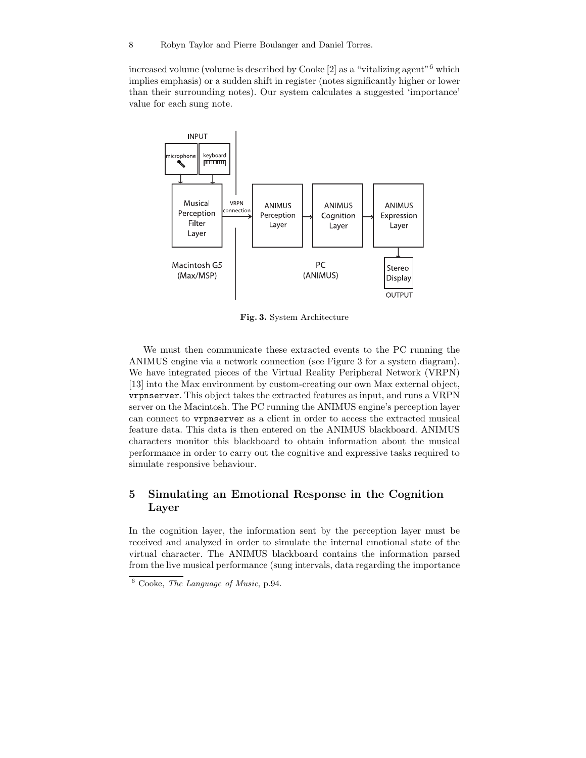increased volume (volume is described by Cooke  $[2]$  as a "vitalizing agent"<sup>6</sup> which implies emphasis) or a sudden shift in register (notes significantly higher or lower than their surrounding notes). Our system calculates a suggested 'importance' value for each sung note.



**Fig. 3.** System Architecture

We must then communicate these extracted events to the PC running the ANIMUS engine via a network connection (see Figure 3 for a system diagram). We have integrated pieces of the Virtual Reality Peripheral Network (VRPN) [13] into the Max environment by custom-creating our own Max external object, vrpnserver. This object takes the extracted features as input, and runs a VRPN server on the Macintosh. The PC running the ANIMUS engine's perception layer can connect to vrpnserver as a client in order to access the extracted musical feature data. This data is then entered on the ANIMUS blackboard. ANIMUS characters monitor this blackboard to obtain information about the musical performance in order to carry out the cognitive and expressive tasks required to simulate responsive behaviour.

# **5 Simulating an Emotional Response in the Cognition Layer**

In the cognition layer, the information sent by the perception layer must be received and analyzed in order to simulate the internal emotional state of the virtual character. The ANIMUS blackboard contains the information parsed from the live musical performance (sung intervals, data regarding the importance

<sup>6</sup> Cooke, *The Language of Music*, p.94.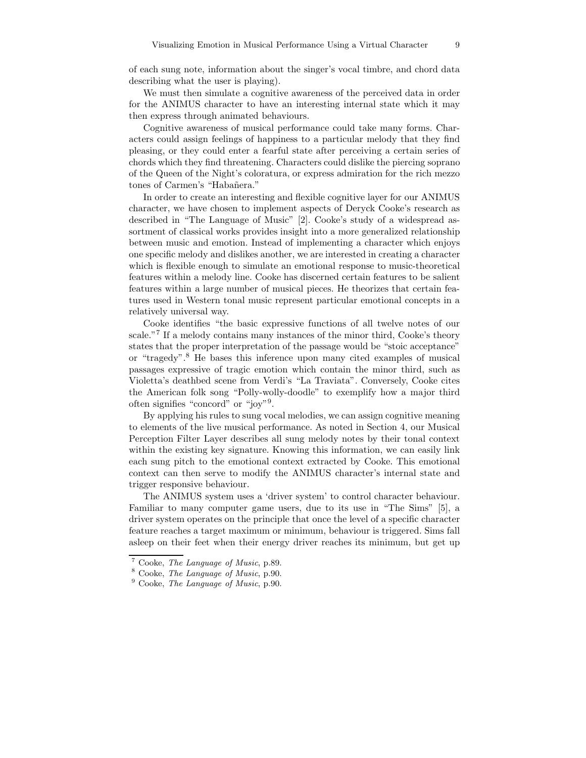of each sung note, information about the singer's vocal timbre, and chord data describing what the user is playing).

We must then simulate a cognitive awareness of the perceived data in order for the ANIMUS character to have an interesting internal state which it may then express through animated behaviours.

Cognitive awareness of musical performance could take many forms. Characters could assign feelings of happiness to a particular melody that they find pleasing, or they could enter a fearful state after perceiving a certain series of chords which they find threatening. Characters could dislike the piercing soprano of the Queen of the Night's coloratura, or express admiration for the rich mezzo tones of Carmen's "Habañera."

In order to create an interesting and flexible cognitive layer for our ANIMUS character, we have chosen to implement aspects of Deryck Cooke's research as described in "The Language of Music" [2]. Cooke's study of a widespread assortment of classical works provides insight into a more generalized relationship between music and emotion. Instead of implementing a character which enjoys one specific melody and dislikes another, we are interested in creating a character which is flexible enough to simulate an emotional response to music-theoretical features within a melody line. Cooke has discerned certain features to be salient features within a large number of musical pieces. He theorizes that certain features used in Western tonal music represent particular emotional concepts in a relatively universal way.

Cooke identifies "the basic expressive functions of all twelve notes of our scale."<sup>7</sup> If a melody contains many instances of the minor third, Cooke's theory states that the proper interpretation of the passage would be "stoic acceptance" or "tragedy".<sup>8</sup> He bases this inference upon many cited examples of musical passages expressive of tragic emotion which contain the minor third, such as Violetta's deathbed scene from Verdi's "La Traviata". Conversely, Cooke cites the American folk song "Polly-wolly-doodle" to exemplify how a major third often signifies "concord" or "joy"<sup>9</sup>.

By applying his rules to sung vocal melodies, we can assign cognitive meaning to elements of the live musical performance. As noted in Section 4, our Musical Perception Filter Layer describes all sung melody notes by their tonal context within the existing key signature. Knowing this information, we can easily link each sung pitch to the emotional context extracted by Cooke. This emotional context can then serve to modify the ANIMUS character's internal state and trigger responsive behaviour.

The ANIMUS system uses a 'driver system' to control character behaviour. Familiar to many computer game users, due to its use in "The Sims" [5], a driver system operates on the principle that once the level of a specific character feature reaches a target maximum or minimum, behaviour is triggered. Sims fall asleep on their feet when their energy driver reaches its minimum, but get up

<sup>7</sup> Cooke, *The Language of Music*, p.89. <sup>8</sup> Cooke, *The Language of Music*, p.90. <sup>9</sup> Cooke, *The Language of Music*, p.90.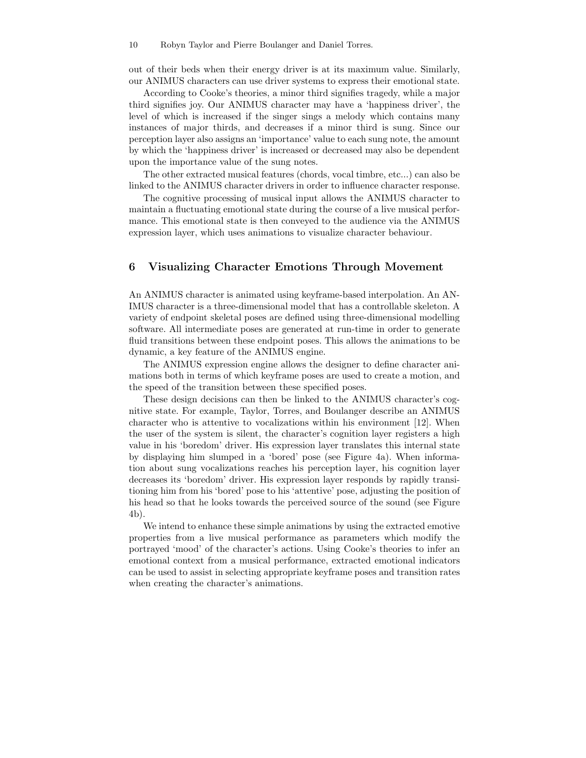out of their beds when their energy driver is at its maximum value. Similarly, our ANIMUS characters can use driver systems to express their emotional state.

According to Cooke's theories, a minor third signifies tragedy, while a major third signifies joy. Our ANIMUS character may have a 'happiness driver', the level of which is increased if the singer sings a melody which contains many instances of major thirds, and decreases if a minor third is sung. Since our perception layer also assigns an 'importance' value to each sung note, the amount by which the 'happiness driver' is increased or decreased may also be dependent upon the importance value of the sung notes.

The other extracted musical features (chords, vocal timbre, etc...) can also be linked to the ANIMUS character drivers in order to influence character response.

The cognitive processing of musical input allows the ANIMUS character to maintain a fluctuating emotional state during the course of a live musical performance. This emotional state is then conveyed to the audience via the ANIMUS expression layer, which uses animations to visualize character behaviour.

### **6 Visualizing Character Emotions Through Movement**

An ANIMUS character is animated using keyframe-based interpolation. An AN-IMUS character is a three-dimensional model that has a controllable skeleton. A variety of endpoint skeletal poses are defined using three-dimensional modelling software. All intermediate poses are generated at run-time in order to generate fluid transitions between these endpoint poses. This allows the animations to be dynamic, a key feature of the ANIMUS engine.

The ANIMUS expression engine allows the designer to define character animations both in terms of which keyframe poses are used to create a motion, and the speed of the transition between these specified poses.

These design decisions can then be linked to the ANIMUS character's cognitive state. For example, Taylor, Torres, and Boulanger describe an ANIMUS character who is attentive to vocalizations within his environment [12]. When the user of the system is silent, the character's cognition layer registers a high value in his 'boredom' driver. His expression layer translates this internal state by displaying him slumped in a 'bored' pose (see Figure 4a). When information about sung vocalizations reaches his perception layer, his cognition layer decreases its 'boredom' driver. His expression layer responds by rapidly transitioning him from his 'bored' pose to his 'attentive' pose, adjusting the position of his head so that he looks towards the perceived source of the sound (see Figure 4b).

We intend to enhance these simple animations by using the extracted emotive properties from a live musical performance as parameters which modify the portrayed 'mood' of the character's actions. Using Cooke's theories to infer an emotional context from a musical performance, extracted emotional indicators can be used to assist in selecting appropriate keyframe poses and transition rates when creating the character's animations.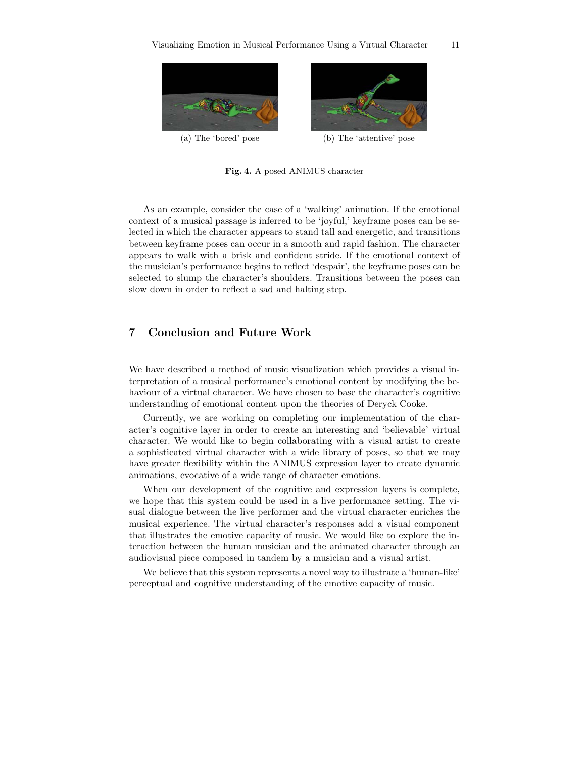

**Fig. 4.** A posed ANIMUS character

As an example, consider the case of a 'walking' animation. If the emotional context of a musical passage is inferred to be 'joyful,' keyframe poses can be selected in which the character appears to stand tall and energetic, and transitions between keyframe poses can occur in a smooth and rapid fashion. The character appears to walk with a brisk and confident stride. If the emotional context of the musician's performance begins to reflect 'despair', the keyframe poses can be selected to slump the character's shoulders. Transitions between the poses can slow down in order to reflect a sad and halting step.

# **7 Conclusion and Future Work**

We have described a method of music visualization which provides a visual interpretation of a musical performance's emotional content by modifying the behaviour of a virtual character. We have chosen to base the character's cognitive understanding of emotional content upon the theories of Deryck Cooke.

Currently, we are working on completing our implementation of the character's cognitive layer in order to create an interesting and 'believable' virtual character. We would like to begin collaborating with a visual artist to create a sophisticated virtual character with a wide library of poses, so that we may have greater flexibility within the ANIMUS expression layer to create dynamic animations, evocative of a wide range of character emotions.

When our development of the cognitive and expression layers is complete, we hope that this system could be used in a live performance setting. The visual dialogue between the live performer and the virtual character enriches the musical experience. The virtual character's responses add a visual component that illustrates the emotive capacity of music. We would like to explore the interaction between the human musician and the animated character through an audiovisual piece composed in tandem by a musician and a visual artist.

We believe that this system represents a novel way to illustrate a 'human-like' perceptual and cognitive understanding of the emotive capacity of music.